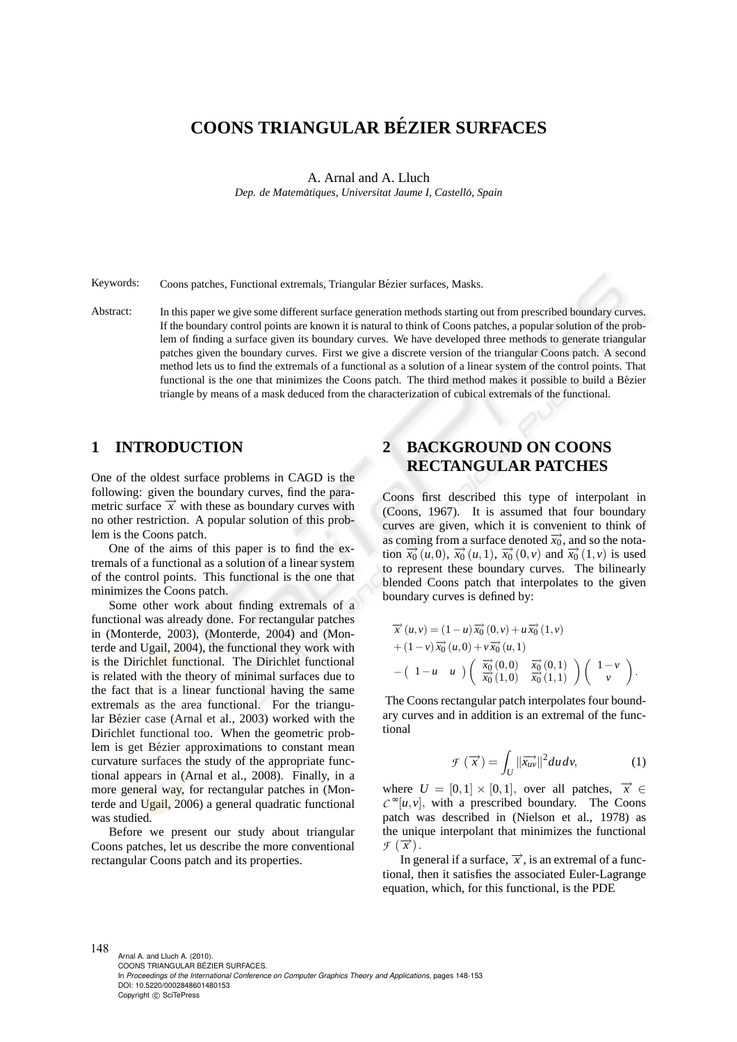# **COONS TRIANGULAR BE´ZIER SURFACES**

A. Arnal and A. Lluch

*Dep. de Matematiques, Universitat Jaume I, Castell ` o, Spain ´*

Keywords: Coons patches, Functional extremals, Triangular Bézier surfaces, Masks.

Abstract: In this paper we give some different surface generation methods starting out from prescribed boundary curves. If the boundary control points are known it is natural to think of Coons patches, a popular solution of the problem of finding a surface given its boundary curves. We have developed three methods to generate triangular patches given the boundary curves. First we give a discrete version of the triangular Coons patch. A second method lets us to find the extremals of a functional as a solution of a linear system of the control points. That functional is the one that minimizes the Coons patch. The third method makes it possible to build a Bézier triangle by means of a mask deduced from the characterization of cubical extremals of the functional.

#### **1 INTRODUCTION**

One of the oldest surface problems in CAGD is the following: given the boundary curves, find the parametric surface  $\vec{x}$  with these as boundary curves with no other restriction. A popular solution of this problem is the Coons patch.

One of the aims of this paper is to find the extremals of a functional as a solution of a linear system of the control points. This functional is the one that minimizes the Coons patch.

Some other work about finding extremals of a functional was already done. For rectangular patches in (Monterde, 2003), (Monterde, 2004) and (Monterde and Ugail, 2004), the functional they work with is the Dirichlet functional. The Dirichlet functional is related with the theory of minimal surfaces due to the fact that is a linear functional having the same extremals as the area functional. For the triangular Bézier case (Arnal et al., 2003) worked with the Dirichlet functional too. When the geometric problem is get Bézier approximations to constant mean curvature surfaces the study of the appropriate functional appears in (Arnal et al., 2008). Finally, in a more general way, for rectangular patches in (Monterde and Ugail, 2006) a general quadratic functional was studied.

Before we present our study about triangular Coons patches, let us describe the more conventional rectangular Coons patch and its properties.

# **2 BACKGROUND ON COONS RECTANGULAR PATCHES**

Coons first described this type of interpolant in (Coons, 1967). It is assumed that four boundary curves are given, which it is convenient to think of as coming from a surface denoted  $\overrightarrow{x_0}$ , and so the nota- $\frac{d}{dx}$  (*u*,0),  $\frac{d}{dx}$  (*u*, 1),  $\frac{d}{dx}$  (0,*v*) and  $\frac{d}{dx}$  (1,*v*) is used to represent these boundary curves. The bilinearly blended Coons patch that interpolates to the given boundary curves is defined by:

$$
\overrightarrow{x}(u,v) = (1-u)\overrightarrow{x_0}(0,v) + u\overrightarrow{x_0}(1,v) \n+ (1-v)\overrightarrow{x_0}(u,0) + v\overrightarrow{x_0}(u,1) \n- (1-u-u)\left(\begin{array}{c}\overrightarrow{x_0}(0,0) & \overrightarrow{x_0}(0,1) \\ \overrightarrow{x_0}(1,0) & \overrightarrow{x_0}(1,1)\end{array}\right)\left(\begin{array}{c}1-v\\v\end{array}\right).
$$

The Coons rectangular patch interpolates four boundary curves and in addition is an extremal of the functional

$$
\mathcal{F}\left(\overrightarrow{x}\right) = \int_{U} \|\overrightarrow{x_{uv}}\|^2 du \, dv,\tag{1}
$$

where  $U = [0,1] \times [0,1]$ , over all patches,  $\vec{x} \in$  $C^{\infty}[u, v]$ , with a prescribed boundary. The Coons patch was described in (Nielson et al., 1978) as the unique interpolant that minimizes the functional  $\overline{f}(\overrightarrow{x})$ .

In general if a surface,  $\vec{x}$ , is an extremal of a functional, then it satisfies the associated Euler-Lagrange equation, which, for this functional, is the PDE

148 Arnal A. and Lluch A. (2010). COONS TRIANGULAR BÉZIER SURFACES. In *Proceedings of the International Conference on Computer Graphics Theory and Applications*, pages 148-153 DOI: 10.5220/0002848601480153 Copyright © SciTePress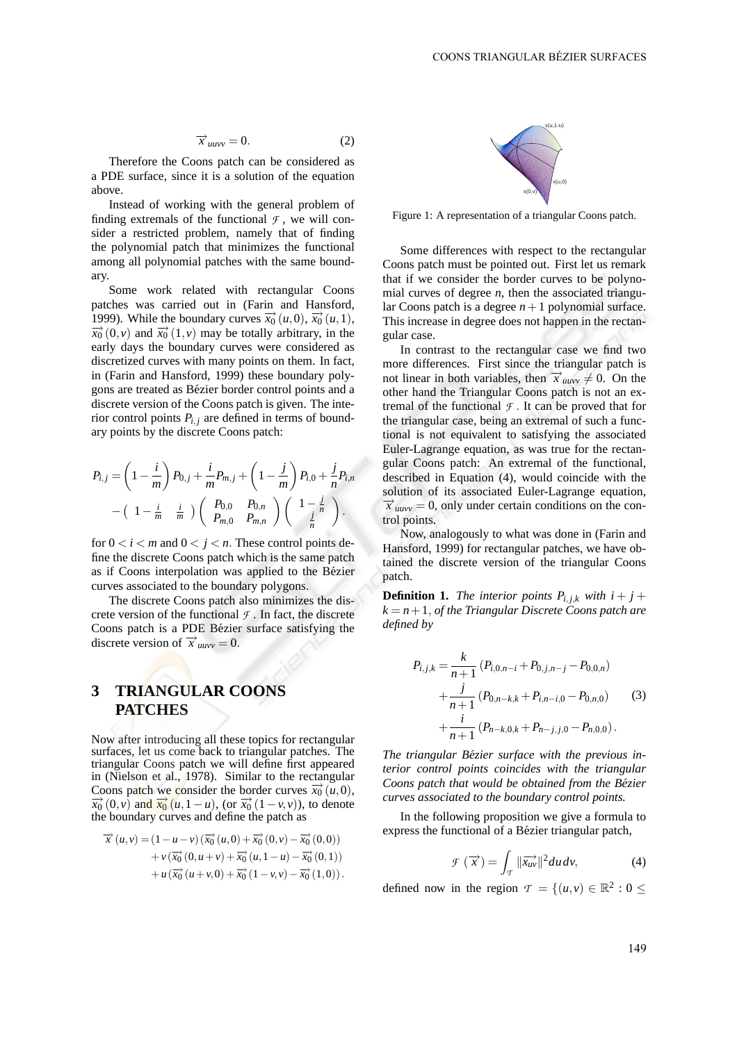$$
\overrightarrow{x}_{\text{unvv}} = 0. \tag{2}
$$

Therefore the Coons patch can be considered as a PDE surface, since it is a solution of the equation above.

Instead of working with the general problem of finding extremals of the functional  $\mathcal F$ , we will consider a restricted problem, namely that of finding the polynomial patch that minimizes the functional among all polynomial patches with the same boundary.

Some work related with rectangular Coons patches was carried out in (Farin and Hansford, 1999). While the boundary curves  $\overrightarrow{x_0}(u,0), \overrightarrow{x_0}(u,1),$  $\overrightarrow{x_0}(0, v)$  and  $\overrightarrow{x_0}(1, v)$  may be totally arbitrary, in the early days the boundary curves were considered as discretized curves with many points on them. In fact, in (Farin and Hansford, 1999) these boundary polygons are treated as Bezier border control points and a ´ discrete version of the Coons patch is given. The interior control points  $P_{i,j}$  are defined in terms of boundary points by the discrete Coons patch:

$$
P_{i,j} = \left(1 - \frac{i}{m}\right) P_{0,j} + \frac{i}{m} P_{m,j} + \left(1 - \frac{j}{m}\right) P_{i,0} + \frac{j}{n} P_{i,n}
$$

$$
- \left(1 - \frac{i}{m} - \frac{i}{m}\right) \left(P_{0,0} - P_{0,n}\right) \left(1 - \frac{i}{n}\right).
$$

for  $0 < i < m$  and  $0 < j < n$ . These control points define the discrete Coons patch which is the same patch as if Coons interpolation was applied to the Bézier curves associated to the boundary polygons.

The discrete Coons patch also minimizes the discrete version of the functional  $\mathcal F$ . In fact, the discrete Coons patch is a PDE Bézier surface satisfying the discrete version of  $\vec{x}_{uuvv} = 0$ .

## **3 TRIANGULAR COONS PATCHES**

Now after introducing all these topics for rectangular surfaces, let us come back to triangular patches. The triangular Coons patch we will define first appeared in (Nielson et al., 1978). Similar to the rectangular Coons patch we consider the border curves  $\vec{x}_0(u,0)$ ,  $\overrightarrow{x_0}(0, v)$  and  $\overrightarrow{x_0}(u, 1-u)$ , (or  $\overrightarrow{x_0}(1-v, v)$ ), to denote the boundary curves and define the patch as

$$
\overrightarrow{x}(u,v) = (1 - u - v) (\overrightarrow{x_0}(u,0) + \overrightarrow{x_0}(0,v) - \overrightarrow{x_0}(0,0)) \n+ v (\overrightarrow{x_0}(0,u+v) + \overrightarrow{x_0}(u,1-u) - \overrightarrow{x_0}(0,1)) \n+ u (\overrightarrow{x_0}(u+v,0) + \overrightarrow{x_0}(1-v,v) - \overrightarrow{x_0}(1,0)).
$$



Figure 1: A representation of a triangular Coons patch.

Some differences with respect to the rectangular Coons patch must be pointed out. First let us remark that if we consider the border curves to be polynomial curves of degree *n*, then the associated triangular Coons patch is a degree  $n+1$  polynomial surface. This increase in degree does not happen in the rectangular case.

In contrast to the rectangular case we find two more differences. First since the triangular patch is not linear in both variables, then  $\vec{x}_{uuvv} \neq 0$ . On the other hand the Triangular Coons patch is not an extremal of the functional  $\mathcal F$ . It can be proved that for the triangular case, being an extremal of such a functional is not equivalent to satisfying the associated Euler-Lagrange equation, as was true for the rectangular Coons patch: An extremal of the functional, described in Equation (4), would coincide with the solution of its associated Euler-Lagrange equation,  $\vec{x}$  *uuvv* = 0, only under certain conditions on the control points.

Now, analogously to what was done in (Farin and Hansford, 1999) for rectangular patches, we have obtained the discrete version of the triangular Coons patch.

**Definition 1.** *The interior points*  $P_{i,j,k}$  *with*  $i + j + j$  $k = n + 1$ , *of the Triangular Discrete Coons patch are defined by*

$$
P_{i,j,k} = \frac{k}{n+1} (P_{i,0,n-i} + P_{0,j,n-j} - P_{0,0,n})
$$
  
+  $\frac{j}{n+1} (P_{0,n-k,k} + P_{i,n-i,0} - P_{0,n,0})$  (3)  
+  $\frac{i}{n+1} (P_{n-k,0,k} + P_{n-j,j,0} - P_{n,0,0}).$ 

*The triangular Bezier surface with the previous in- ´ terior control points coincides with the triangular Coons patch that would be obtained from the Bezier ´ curves associated to the boundary control points.*

In the following proposition we give a formula to express the functional of a Bézier triangular patch,

$$
\mathcal{F}\left(\overrightarrow{x}\right) = \int_{T} \|\overrightarrow{x_{uv}}\|^{2} du dv,
$$
 (4)

defined now in the region  $\mathcal{T} = \{(u, v) \in \mathbb{R}^2 : 0 \leq$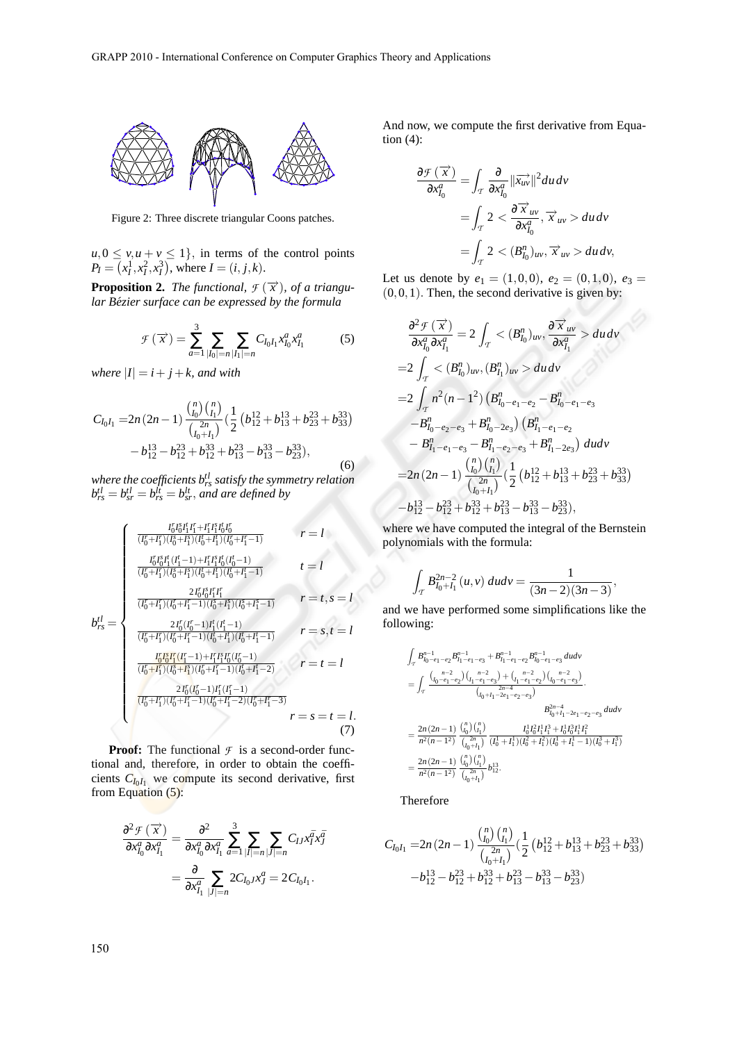

Figure 2: Three discrete triangular Coons patches.

 $u, 0 \le v, u + v \le 1$ , in terms of the control points  $P_I = (x_I^1, x_I^2, x_I^3)$ , where  $I = (i, j, k)$ .

**Proposition 2.** *The functional,*  $\mathcal{F}(\vec{x})$ *, of a triangular Bezier surface can be expressed by the formula ´*

$$
\mathcal{F}\left(\overrightarrow{x}\right) = \sum_{a=1}^{3} \sum_{|I_0|=n} \sum_{|I_1|=n} C_{I_0 I_1} x_{I_0}^a x_{I_1}^a \tag{5}
$$

*where*  $|I| = i + j + k$ *, and with* 

$$
C_{I_0I_1} = 2n(2n-1)\frac{\binom{n}{I_0}\binom{n}{I_1}}{\binom{2n}{I_0+I_1}}\left(\frac{1}{2}\left(b_{12}^{12} + b_{13}^{13} + b_{23}^{23} + b_{33}^{33}\right) - b_{12}^{13} - b_{12}^{23} + b_{13}^{33} + b_{13}^{23} - b_{13}^{33} - b_{23}^{33}\right),\tag{6}
$$

*where the coefficients btl rs satisfy the symmetry relation*  $b_{rs}^{tl} = b_{sr}^{lt} = b_{rs}^{lt} = b_{sr}^{lt}$ , and are defined by

$$
b_{rs}^{tl} = \begin{cases}\n\frac{I_{0}^{r}I_{0}^{s}I_{1}^{t}I_{1}^{r}+I_{1}^{r}I_{1}^{s}I_{0}^{t}I_{0}^{r}}{(I_{0}^{r}+I_{1}^{r})(I_{0}^{s}+I_{1}^{s})(I_{0}^{r}+I_{1}^{r})(I_{0}^{r}+I_{1}^{r}-1)} & r = l \\
\frac{I_{0}^{r}I_{0}^{s}I_{1}^{t}(I_{1}^{t}-1)+I_{1}^{r}I_{1}^{s}I_{0}^{t}(I_{0}^{t}-1)}{(I_{0}^{r}+I_{1}^{r})(I_{0}^{s}+I_{1}^{s})(I_{0}^{r}+I_{1}^{r}-1)} & t = l \\
\frac{2I_{0}^{r}I_{0}^{s}I_{1}^{r}I_{1}^{r}}{(I_{0}^{r}+I_{1}^{r})(I_{0}^{r}+I_{1}^{r}-1)(I_{0}^{s}+I_{1}^{s})(I_{0}^{s}+I_{1}^{s}-1)} & r = s, t = l \\
\frac{2I_{0}^{r}(I_{0}^{r}-1)I_{1}^{r}(I_{1}^{r}-1)}{(I_{0}^{r}+I_{1}^{r})(I_{0}^{r}+I_{1}^{r}-1)(I_{0}^{r}+I_{1}^{r}-1)(I_{0}^{r}+I_{1}^{r}-2)} & r = t = l \\
\frac{2I_{0}^{r}(I_{0}^{r}-1)+I_{1}^{r}I_{1}^{s}(I_{0}^{r}-1)}{(I_{0}^{r}+I_{1}^{r})(I_{0}^{r}+I_{1}^{r}-1)(I_{0}^{r}+I_{1}^{r}-2)(I_{0}^{r}+I_{1}^{r}-3)} & r = s = t = l. \\
\frac{2I_{0}^{r}(I_{0}^{r}-1)I_{1}^{r}(I_{1}^{r}-1)}{(I_{0}^{r}+I_{1}^{r})(I_{0}^{r}+I_{1}^{r}-1)(I_{0}^{r}+I_{1}^{r}-2)(I_{0}^{r}+I_{1}^{r}-3)} & r = s = t = l. \\
\end{cases}
$$
\n(7)

**Proof:** The functional  $\mathcal{F}$  is a second-order functional and, therefore, in order to obtain the coefficients  $C_{I_0I_1}$  we compute its second derivative, first from Equation (5):

$$
\frac{\partial^2 \mathcal{F}(\overrightarrow{x})}{\partial x_{I_0}^a \partial x_{I_1}^a} = \frac{\partial^2}{\partial x_{I_0}^a \partial x_{I_1}^a} \sum_{\overrightarrow{a}=1}^3 \sum_{|I|=n} \sum_{|J|=n} C_{IJ} x_I^{\overrightarrow{a}} x_J^{\overrightarrow{a}} \n= \frac{\partial}{\partial x_{I_1}^a} \sum_{|J|=n} 2C_{I_0J} x_J^a = 2C_{I_0I_1}.
$$

And now, we compute the first derivative from Equation (4):

$$
\frac{\partial \mathcal{F}(\overrightarrow{x})}{\partial x_{I_0}^a} = \int_{\mathcal{T}} \frac{\partial}{\partial x_{I_0}^a} ||\overrightarrow{x_{uv}}||^2 du dv
$$
  
= 
$$
\int_{\mathcal{T}} 2 < \frac{\partial \overrightarrow{x}_{uv}}{\partial x_{I_0}^a}, \overrightarrow{x}_{uv} > du dv
$$
  
= 
$$
\int_{\mathcal{T}} 2 < (B_{I_0}^n)_{uv}, \overrightarrow{x}_{uv} > du dv,
$$

Let us denote by  $e_1 = (1,0,0), e_2 = (0,1,0), e_3 =$  $(0,0,1)$ . Then, the second derivative is given by:

$$
\frac{\partial^2 \mathcal{F}(\overrightarrow{x})}{\partial x_{I_0}^a \partial x_{I_1}^a} = 2 \int_{\mathcal{T}} \langle (B_{I_0}^n)_{uv}, \frac{\partial \overrightarrow{x}_{uv}}{\partial x_{I_1}^a} \rangle du dv
$$
  
\n
$$
= 2 \int_{\mathcal{T}} \langle (B_{I_0}^n)_{uv}, (B_{I_1}^n)_{uv} \rangle du dv
$$
  
\n
$$
= 2 \int_{\mathcal{T}} n^2 (n - 1^2) (B_{I_0 - e_1 - e_2}^n - B_{I_0 - e_1 - e_3}^n -B_{I_0 - e_2 - e_3}^n + B_{I_0 - 2e_3}^n) (B_{I_1 - e_1 - e_2}^n -B_{I_1 - e_1 - e_3}^n -B_{I_1 - e_2 - e_3}^n + B_{I_1 - 2e_3}^n) du dv
$$
  
\n
$$
= 2n (2n - 1) \frac{{n \choose I_0} {n \choose I_1}}{{n \choose I_0 + I_1}} (\frac{1}{2} (b_{12}^{12} + b_{13}^{13} + b_{23}^{23} + b_{33}^{33}) -b_{12}^{13} - b_{12}^{23} + b_{13}^{33} - b_{13}^{33} - b_{23}^{33}),
$$

where we have computed the integral of the Bernstein polynomials with the formula:

$$
\int_{T} B_{l_0+l_1}^{2n-2} (u,v) du dv = \frac{1}{(3n-2)(3n-3)},
$$

and we have performed some simplifications like the following:

$$
\begin{aligned} &\int_{\mathcal{T}} B^{n-1}_{l_0-e_1-e_2} B^{n-1}_{l_1-e_1-e_3} + B^{n-1}_{l_1-e_1-e_2} B^{n-1}_{l_0-e_1-e_3} \; du dv \\ &= \int_{\mathcal{T}} \frac{ \binom{n-2}{0-e_1-e_2} \binom{n-2}{l_1-e_1-e_3} + \binom{n-2}{l_1-e_1-e_2} \binom{n-2}{0-e_1-e_3}}{\binom{2n-1}{0+1-2e_1-e_2-e_3}} \cdot \\ &= \frac{2n \left(2n-1\right)}{n^2(n-1)^2} \frac{\binom{n}{l_0} \binom{n}{l_1}}{\binom{n}{l_0}+l_1} \frac{I_0^1 I_0^2 I_1^1 I_1^2 + I_0^1 I_0^3 I_1^1 I_1^2}{\binom{1}{l_0}+l_1} \\ &= \frac{2n \left(2n-1\right)}{n^2(n-1)^2} \frac{\binom{n}{l_0} \binom{n}{l_1}}{\binom{n}{l_0}+l_1} \frac{I_0^1 I_0^2 I_1^1 I_1^2 + I_0^1 I_0^3 I_1^1 I_1^2}{\binom{2n}{l_0}+l_1} \\ &= \frac{2n \left(2n-1\right)}{n^2(n-1)^2} \frac{\binom{n}{l_0} \binom{n}{l_1}}{\binom{n}{l_0}+l_1} b_1^{13}. \end{aligned}
$$

Therefore

$$
C_{I_0I_1} = 2n(2n-1)\frac{{\binom{n}{I_0}}{\binom{n}{I_1}}}{{\binom{n}{I_0+I_1}}} \left(\frac{1}{2}\left(b_{12}^{12} + b_{13}^{13} + b_{23}^{23} + b_{33}^{33}\right) - b_{12}^{13} - b_{12}^{23} + b_{12}^{33} + b_{13}^{23} - b_{13}^{33} - b_{23}^{33}\right)
$$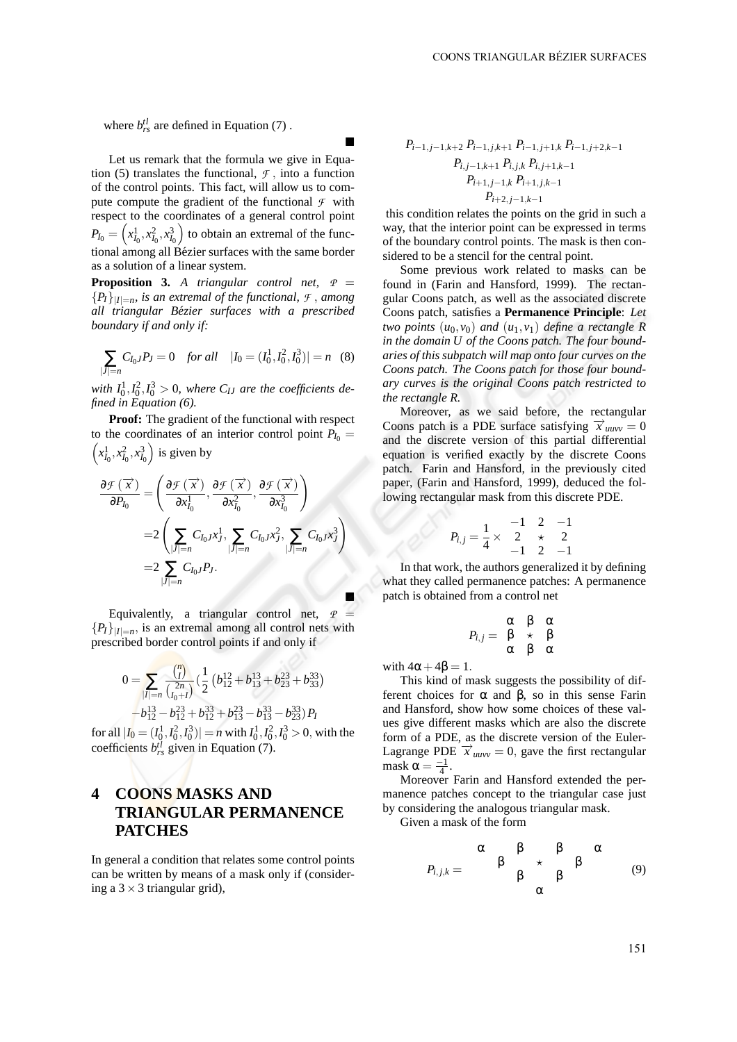where  $b_{rs}^{tl}$  are defined in Equation (7).

Let us remark that the formula we give in Equation (5) translates the functional,  $\tau$ , into a function of the control points. This fact, will allow us to compute compute the gradient of the functional  $\mathcal F$  with respect to the coordinates of a general control point  $P_{I_0} = \left(x_{I_0}^1, x_{I_0}^2, x_{I_0}^3\right)$  to obtain an extremal of the functional among all Bézier surfaces with the same border as a solution of a linear system.

 $\blacksquare$ 

**Proposition 3.** *A triangular control net,*  $P =$  ${P_I}$  $\big|_{|I|=n}$ , *is an extremal of the functional,*  $\mathcal{F}$ , *among all triangular Bezier surfaces with a prescribed ´ boundary if and only if:*

$$
\sum_{|J|=n} C_{I_0J} P_J = 0 \quad \text{for all} \quad |I_0 = (I_0^1, I_0^2, I_0^3)| = n \quad (8)
$$

with  $I_0^1, I_0^2, I_0^3 > 0$ , where  $C_{IJ}$  are the coefficients de*fined in Equation (6).*

**Proof:** The gradient of the functional with respect to the coordinates of an interior control point  $P_{I_0}$  =  $\left(x_{I_0}^1, x_{I_0}^2, x_{I_0}^3\right)$  is given by

$$
\frac{\partial \mathcal{F}(\overrightarrow{x})}{\partial P_{I_0}} = \left(\frac{\partial \mathcal{F}(\overrightarrow{x})}{\partial x_{I_0}^1}, \frac{\partial \mathcal{F}(\overrightarrow{x})}{\partial x_{I_0}^2}, \frac{\partial \mathcal{F}(\overrightarrow{x})}{\partial x_{I_0}^3}\right)
$$

$$
= 2\left(\sum_{|J|=n} C_{I_0J}x_J^1, \sum_{|J|=n} C_{I_0J}x_J^2, \sum_{|J|=n} C_{I_0J}x_J^3\right)
$$

$$
= 2\sum_{|J|=n} C_{I_0J}P_J.
$$

Equivalently, a triangular control net,  $P =$  ${P_I}_{|I|=n}$ , is an extremal among all control nets with prescribed border control points if and only if

$$
0 = \sum_{|I|=n} \frac{{\binom{n}{I}}}{{\binom{2n}{I_0+I}}} \left(\frac{1}{2} \left(b_{12}^{12} + b_{13}^{13} + b_{23}^{23} + b_{33}^{33}\right) - b_{12}^{13} - b_{12}^{23} + b_{13}^{33} + b_{13}^{23} - b_{13}^{33} - b_{23}^{33}\right) P_I
$$

for all  $|I_0 = (I_0^1, I_0^2, I_0^3)| = n$  with  $I_0^1, I_0^2, I_0^3 > 0$ , with the coefficients  $b_{rs}^{tl}$  given in Equation (7).

# **4 COONS MASKS AND TRIANGULAR PERMANENCE PATCHES**

In general a condition that relates some control points can be written by means of a mask only if (considering a  $3 \times 3$  triangular grid),

$$
P_{i-1,j-1,k+2} P_{i-1,j,k+1} P_{i-1,j+1,k} P_{i-1,j+2,k-1}
$$

$$
P_{i,j-1,k+1} P_{i,j,k} P_{i,j+1,k-1}
$$

$$
P_{i+1,j-1,k} P_{i+1,j,k-1}
$$

$$
P_{i+2,j-1,k-1}
$$

this condition relates the points on the grid in such a way, that the interior point can be expressed in terms of the boundary control points. The mask is then considered to be a stencil for the central point.

Some previous work related to masks can be found in (Farin and Hansford, 1999). The rectangular Coons patch, as well as the associated discrete Coons patch, satisfies a **Permanence Principle**: *Let two points* (*u*0,*v*0) *and* (*u*1,*v*1) *define a rectangle R in the domain U of the Coons patch. The four boundaries of this subpatch will map onto four curves on the Coons patch. The Coons patch for those four boundary curves is the original Coons patch restricted to the rectangle R.*

Moreover, as we said before, the rectangular Coons patch is a PDE surface satisfying  $\vec{x}_{u \mu v v} = 0$ and the discrete version of this partial differential equation is verified exactly by the discrete Coons patch. Farin and Hansford, in the previously cited paper, (Farin and Hansford, 1999), deduced the following rectangular mask from this discrete PDE.

$$
P_{i,j} = \frac{1}{4} \times \begin{array}{ccc} -1 & 2 & -1 \\ 2 & \star & 2 \\ -1 & 2 & -1 \end{array}
$$

In that work, the authors generalized it by defining what they called permanence patches: A permanence patch is obtained from a control net

$$
P_{i,j} = \begin{array}{cc} \alpha & \beta & \alpha \\ \beta & \star & \beta \\ \alpha & \beta & \alpha \end{array}
$$

with  $4\alpha + 4\beta = 1$ .

*Pi*, *<sup>j</sup>* =

This kind of mask suggests the possibility of different choices for α and β, so in this sense Farin and Hansford, show how some choices of these values give different masks which are also the discrete form of a PDE, as the discrete version of the Euler-Lagrange PDE  $\vec{x}_{\text{unvv}} = 0$ , gave the first rectangular mask  $\alpha = \frac{-1}{4}$ .

Moreover Farin and Hansford extended the permanence patches concept to the triangular case just by considering the analogous triangular mask.

Given a mask of the form

*Pi*, *<sup>j</sup>*,*<sup>k</sup>* = α β β α β ⋆ β β β α (9)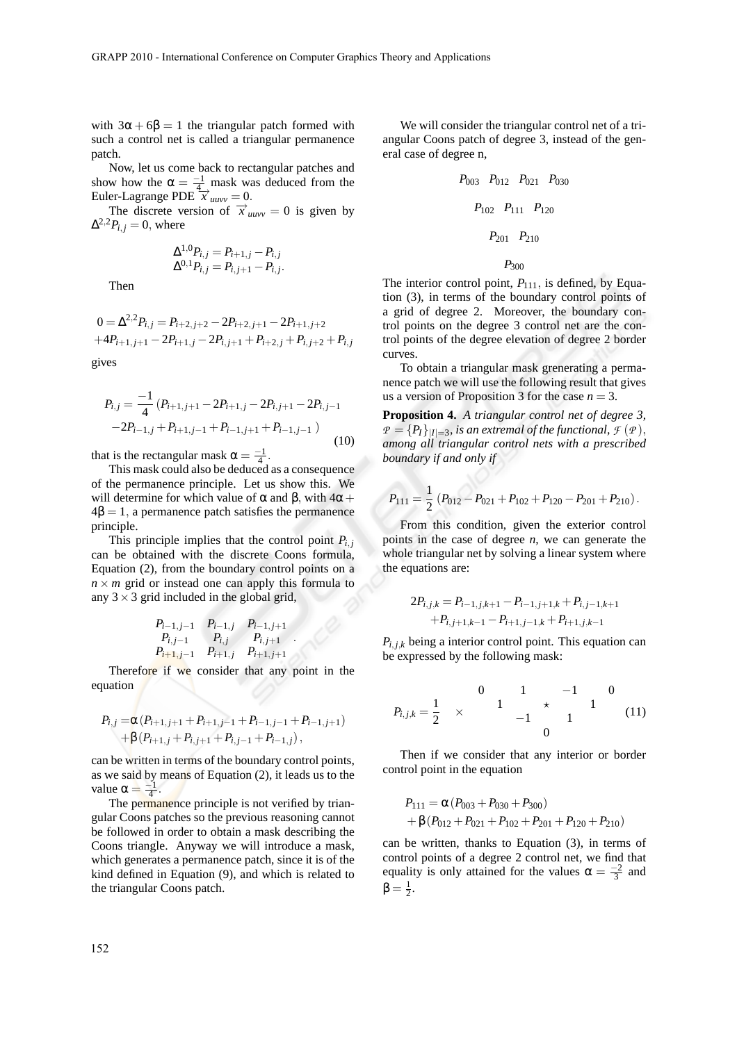with  $3\alpha + 6\beta = 1$  the triangular patch formed with such a control net is called a triangular permanence patch.

Now, let us come back to rectangular patches and show how the  $\alpha = \frac{-1}{4}$  mask was deduced from the Euler-Lagrange PDE  $\overrightarrow{x}_{\text{uuvv}} = 0$ .

The discrete version of  $\vec{x}_{uuvv} = 0$  is given by  $\Delta^{2,2}P_{i,j}=0$ , where

$$
\Delta^{1,0} P_{i,j} = P_{i+1,j} - P_{i,j} \n\Delta^{0,1} P_{i,j} = P_{i,j+1} - P_{i,j}.
$$

Then

$$
0 = \Delta^{2,2} P_{i,j} = P_{i+2,j+2} - 2P_{i+2,j+1} - 2P_{i+1,j+2}
$$
  
+4P\_{i+1,j+1} - 2P\_{i+1,j} - 2P\_{i,j+1} + P\_{i+2,j} + P\_{i,j+2} + P\_{i,j}

gives

$$
P_{i,j} = \frac{-1}{4} (P_{i+1,j+1} - 2P_{i+1,j} - 2P_{i,j+1} - 2P_{i,j-1}
$$
  
-2P\_{i-1,j} + P\_{i+1,j-1} + P\_{i-1,j+1} + P\_{i-1,j-1}) (10)

that is the rectangular mask  $\alpha = \frac{-1}{4}$ .

This mask could also be deduced as a consequence of the permanence principle. Let us show this. We will determine for which value of  $\alpha$  and  $\beta$ , with  $4\alpha +$  $4\beta = 1$ , a permanence patch satisfies the permanence principle.

This principle implies that the control point  $P_{i,j}$ can be obtained with the discrete Coons formula, Equation (2), from the boundary control points on a  $n \times m$  grid or instead one can apply this formula to any  $3 \times 3$  grid included in the global grid,

$$
P_{i-1,j-1} \n P_{i-1,j} \n P_{i-1,j} \n P_{i,j-1} \n P_{i,j} \n P_{i,j+1} \n P_{i+1,j-1} \n P_{i+1,j} \n P_{i+1,j+1}
$$

Therefore if we consider that any point in the equation

$$
P_{i,j} = \alpha (P_{i+1,j+1} + P_{i+1,j-1} + P_{i-1,j-1} + P_{i-1,j+1})
$$
  
+  $\beta (P_{i+1,j} + P_{i,j+1} + P_{i,j-1} + P_{i-1,j}),$ 

can be written in terms of the boundary control points, as we said by means of Equation (2), it leads us to the value  $\alpha = \frac{-1}{4}$ .

The permanence principle is not verified by triangular Coons patches so the previous reasoning cannot be followed in order to obtain a mask describing the Coons triangle. Anyway we will introduce a mask, which generates a permanence patch, since it is of the kind defined in Equation (9), and which is related to the triangular Coons patch.

We will consider the triangular control net of a triangular Coons patch of degree 3, instead of the general case of degree n,

$$
P_{003} \quad P_{012} \quad P_{021} \quad P_{030}
$$
\n
$$
P_{102} \quad P_{111} \quad P_{120}
$$
\n
$$
P_{201} \quad P_{210}
$$
\n
$$
P_{300}
$$

The interior control point,  $P_{111}$ , is defined, by Equation (3), in terms of the boundary control points of a grid of degree 2. Moreover, the boundary control points on the degree 3 control net are the control points of the degree elevation of degree 2 border curves.

To obtain a triangular mask grenerating a permanence patch we will use the following result that gives us a version of Proposition 3 for the case  $n = 3$ .

**Proposition 4.** *A triangular control net of degree 3,*  $P = {P_I}_{|I|=3}$ , is an extremal of the functional,  $\mathcal{F}(P)$ , *among all triangular control nets with a prescribed boundary if and only if*

$$
P_{111} = \frac{1}{2} \left( P_{012} - P_{021} + P_{102} + P_{120} - P_{201} + P_{210} \right).
$$

From this condition, given the exterior control points in the case of degree *n*, we can generate the whole triangular net by solving a linear system where the equations are:

$$
2P_{i,j,k} = P_{i-1,j,k+1} - P_{i-1,j+1,k} + P_{i,j-1,k+1}
$$
  
+P\_{i,j+1,k-1} - P\_{i+1,j-1,k} + P\_{i+1,j,k-1}

 $P_{i,j,k}$  being a interior control point. This equation can be expressed by the following mask:

$$
P_{i,j,k} = \frac{1}{2} \times \begin{array}{ccc} 0 & 1 & -1 & 0 \\ 1 & \star & 1 \\ -1 & 1 & 1 \end{array} \tag{11}
$$

Then if we consider that any interior or border control point in the equation

$$
P_{111} = \alpha (P_{003} + P_{030} + P_{300})
$$
  
+  $\beta (P_{012} + P_{021} + P_{102} + P_{201} + P_{120} + P_{210})$ 

can be written, thanks to Equation (3), in terms of control points of a degree 2 control net, we find that equality is only attained for the values  $\alpha = \frac{-2}{3}$  and  $\beta = \frac{1}{2}$ .